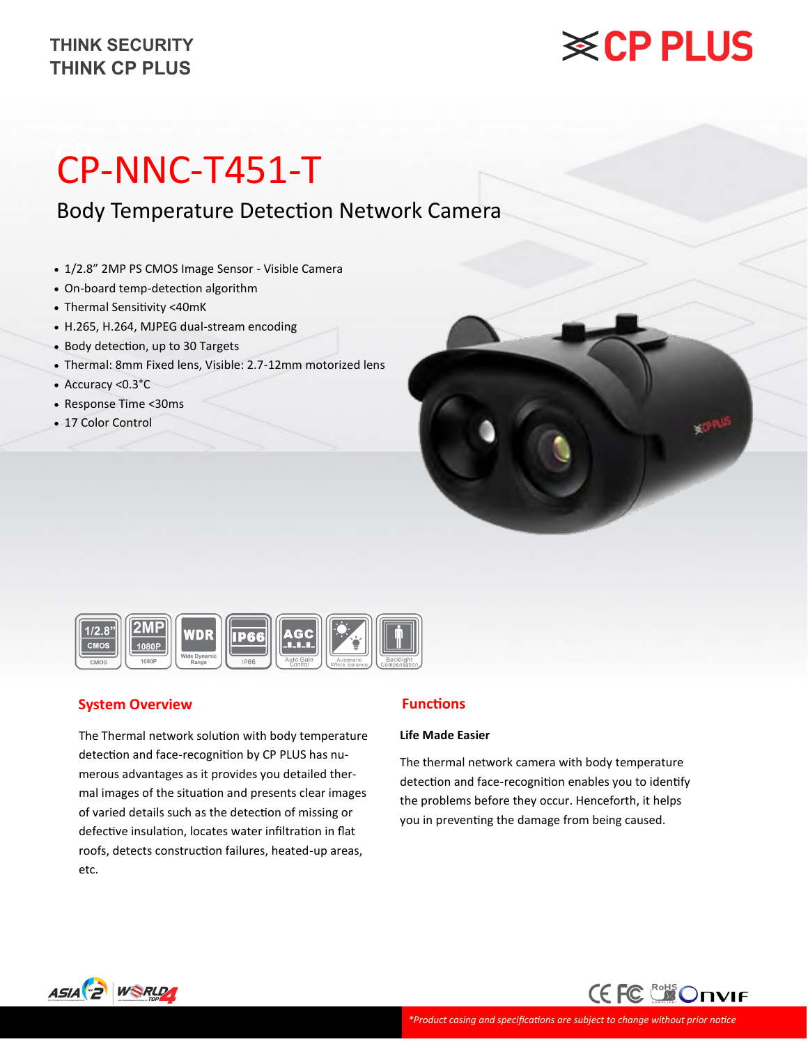# **※CP PLUS**

# **CP-** CP-NNC-T451-T

Body Temperature Detection Network Camera

- 1/2.8" 2MP PS CMOS Image Sensor Visible Camera
- On-board temp-detection algorithm
- Thermal Sensitivity <40mK
- H.265, H.264, MJPEG dual-stream encoding
- Body detection, up to 30 Targets
- Thermal: 8mm Fixed lens, Visible: 2.7-12mm motorized lens
- Accuracy <0.3°C
- Response Time <30ms
- 17 Color Control





### **System Overview**

The Thermal network solution with body temperature detection and face-recognition by CP PLUS has numerous advantages as it provides you detailed thermal images of the situation and presents clear images of varied details such as the detection of missing or defective insulation, locates water infiltration in flat roofs, detects construction failures, heated-up areas, etc.

### **Functions**

#### **Life Made Easier**

The thermal network camera with body temperature detection and face-recognition enables you to identify the problems before they occur. Henceforth, it helps you in preventing the damage from being caused.



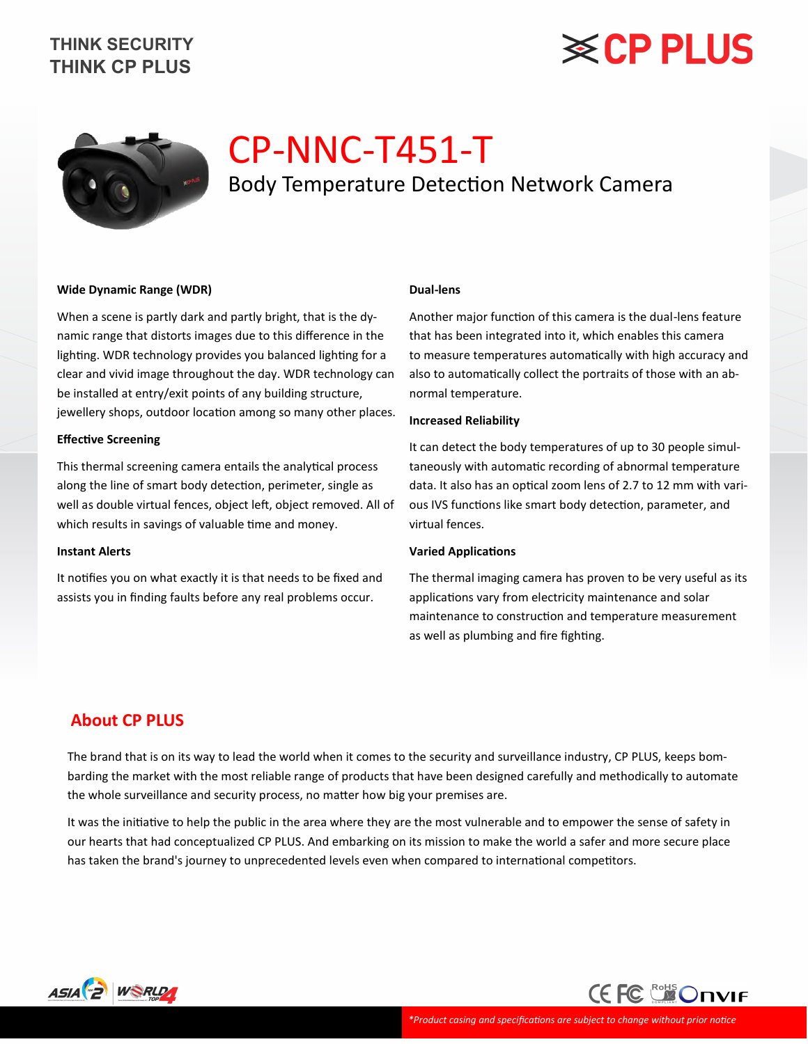# **※CP PLUS**



# CP-NNC-T451-T Body Temperature Detection Network Camera

#### **Wide Dynamic Range (WDR)**

When a scene is partly dark and partly bright, that is the dynamic range that distorts images due to this difference in the lighting. WDR technology provides you balanced lighting for a clear and vivid image throughout the day. WDR technology can be installed at entry/exit points of any building structure, jewellery shops, outdoor location among so many other places.

#### **Effective Screening**

This thermal screening camera entails the analytical process along the line of smart body detection, perimeter, single as well as double virtual fences, object left, object removed. All of which results in savings of valuable time and money.

#### **Instant Alerts**

It notifies you on what exactly it is that needs to be fixed and assists you in finding faults before any real problems occur.

#### **Dual-lens**

Another major function of this camera is the dual-lens feature that has been integrated into it, which enables this camera to measure temperatures automatically with high accuracy and also to automatically collect the portraits of those with an abnormal temperature.

#### **Increased Reliability**

It can detect the body temperatures of up to 30 people simultaneously with automatic recording of abnormal temperature data. It also has an optical zoom lens of 2.7 to 12 mm with various IVS functions like smart body detection, parameter, and virtual fences.

#### **Varied Applications**

The thermal imaging camera has proven to be very useful as its applications vary from electricity maintenance and solar maintenance to construction and temperature measurement as well as plumbing and fire fighting.

### **About CP PLUS**

The brand that is on its way to lead the world when it comes to the security and surveillance industry, CP PLUS, keeps bombarding the market with the most reliable range of products that have been designed carefully and methodically to automate the whole surveillance and security process, no matter how big your premises are.

It was the initiative to help the public in the area where they are the most vulnerable and to empower the sense of safety in our hearts that had conceptualized CP PLUS. And embarking on its mission to make the world a safer and more secure place has taken the brand's journey to unprecedented levels even when compared to international competitors.



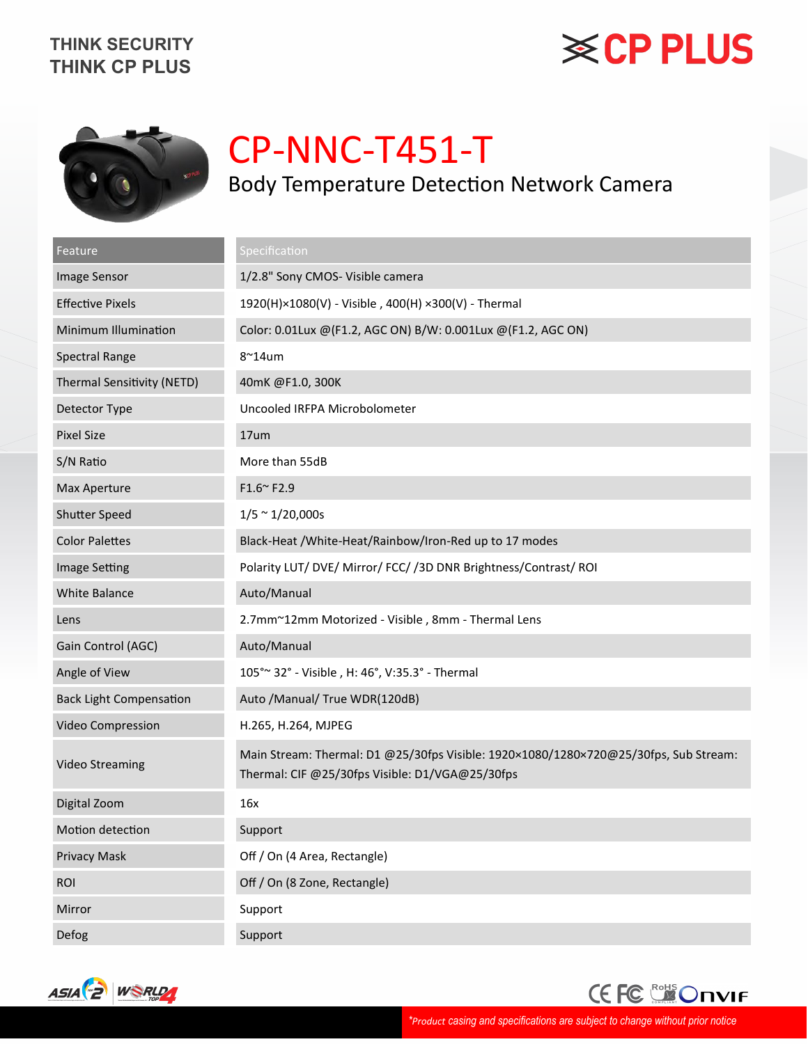# **※CP PLUS**



# CP-NNC-T451-T Body Temperature Detection Network Camera

| Feature                           | Specification                                                                                                                           |
|-----------------------------------|-----------------------------------------------------------------------------------------------------------------------------------------|
| Image Sensor                      | 1/2.8" Sony CMOS- Visible camera                                                                                                        |
| <b>Effective Pixels</b>           | 1920(H)×1080(V) - Visible, 400(H) ×300(V) - Thermal                                                                                     |
| Minimum Illumination              | Color: 0.01Lux @(F1.2, AGC ON) B/W: 0.001Lux @(F1.2, AGC ON)                                                                            |
| <b>Spectral Range</b>             | $8^{\sim}$ 14um                                                                                                                         |
| <b>Thermal Sensitivity (NETD)</b> | 40mK @F1.0, 300K                                                                                                                        |
| Detector Type                     | Uncooled IRFPA Microbolometer                                                                                                           |
| <b>Pixel Size</b>                 | 17um                                                                                                                                    |
| S/N Ratio                         | More than 55dB                                                                                                                          |
| Max Aperture                      | F1.6~F2.9                                                                                                                               |
| <b>Shutter Speed</b>              | $1/5 \approx 1/20,000s$                                                                                                                 |
| <b>Color Palettes</b>             | Black-Heat / White-Heat/Rainbow/Iron-Red up to 17 modes                                                                                 |
| Image Setting                     | Polarity LUT/DVE/Mirror/FCC//3DDNR Brightness/Contrast/ROI                                                                              |
| <b>White Balance</b>              | Auto/Manual                                                                                                                             |
| Lens                              | 2.7mm~12mm Motorized - Visible, 8mm - Thermal Lens                                                                                      |
| Gain Control (AGC)                | Auto/Manual                                                                                                                             |
| Angle of View                     | 105° ~ 32° - Visible, H: 46°, V:35.3° - Thermal                                                                                         |
| <b>Back Light Compensation</b>    | Auto / Manual/ True WDR(120dB)                                                                                                          |
| Video Compression                 | H.265, H.264, MJPEG                                                                                                                     |
| <b>Video Streaming</b>            | Main Stream: Thermal: D1 @25/30fps Visible: 1920×1080/1280×720@25/30fps, Sub Stream:<br>Thermal: CIF @25/30fps Visible: D1/VGA@25/30fps |
| Digital Zoom                      | 16x                                                                                                                                     |
| Motion detection                  | Support                                                                                                                                 |
| <b>Privacy Mask</b>               | Off / On (4 Area, Rectangle)                                                                                                            |
| <b>ROI</b>                        | Off / On (8 Zone, Rectangle)                                                                                                            |
| Mirror                            | Support                                                                                                                                 |
| Defog                             | Support                                                                                                                                 |



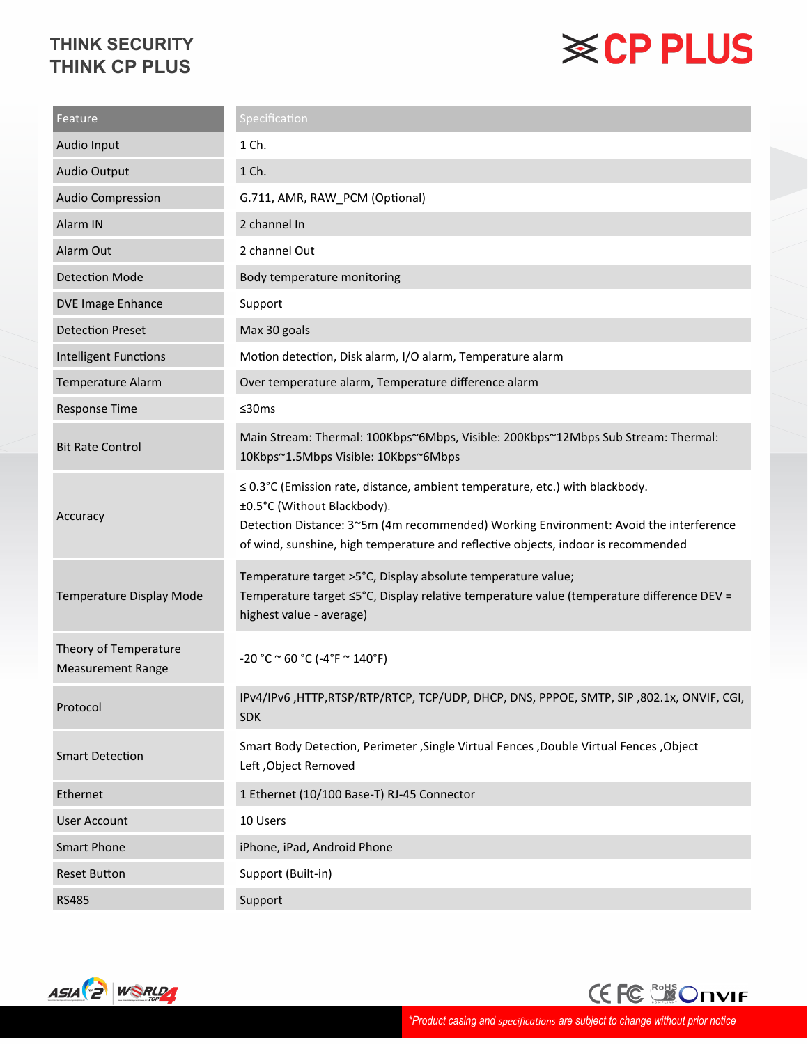# **※CP PLUS**

| Feature                                           | <b>Specification</b>                                                                                                                                                                                                                                                                      |
|---------------------------------------------------|-------------------------------------------------------------------------------------------------------------------------------------------------------------------------------------------------------------------------------------------------------------------------------------------|
| Audio Input                                       | 1 Ch.                                                                                                                                                                                                                                                                                     |
| Audio Output                                      | 1 Ch.                                                                                                                                                                                                                                                                                     |
| <b>Audio Compression</b>                          | G.711, AMR, RAW_PCM (Optional)                                                                                                                                                                                                                                                            |
| Alarm IN                                          | 2 channel In                                                                                                                                                                                                                                                                              |
| Alarm Out                                         | 2 channel Out                                                                                                                                                                                                                                                                             |
| <b>Detection Mode</b>                             | Body temperature monitoring                                                                                                                                                                                                                                                               |
| DVE Image Enhance                                 | Support                                                                                                                                                                                                                                                                                   |
| <b>Detection Preset</b>                           | Max 30 goals                                                                                                                                                                                                                                                                              |
| <b>Intelligent Functions</b>                      | Motion detection, Disk alarm, I/O alarm, Temperature alarm                                                                                                                                                                                                                                |
| <b>Temperature Alarm</b>                          | Over temperature alarm, Temperature difference alarm                                                                                                                                                                                                                                      |
| <b>Response Time</b>                              | ≤30ms                                                                                                                                                                                                                                                                                     |
| <b>Bit Rate Control</b>                           | Main Stream: Thermal: 100Kbps~6Mbps, Visible: 200Kbps~12Mbps Sub Stream: Thermal:<br>10Kbps~1.5Mbps Visible: 10Kbps~6Mbps                                                                                                                                                                 |
| Accuracy                                          | ≤ 0.3°C (Emission rate, distance, ambient temperature, etc.) with blackbody.<br>±0.5°C (Without Blackbody).<br>Detection Distance: 3~5m (4m recommended) Working Environment: Avoid the interference<br>of wind, sunshine, high temperature and reflective objects, indoor is recommended |
| Temperature Display Mode                          | Temperature target >5°C, Display absolute temperature value;<br>Temperature target ≤5°C, Display relative temperature value (temperature difference DEV =<br>highest value - average)                                                                                                     |
| Theory of Temperature<br><b>Measurement Range</b> | $-20 °C \approx 60 °C (-4 °F \approx 140 °F)$                                                                                                                                                                                                                                             |
| Protocol                                          | IPv4/IPv6, HTTP,RTSP/RTP/RTCP, TCP/UDP, DHCP, DNS, PPPOE, SMTP, SIP, 802.1x, ONVIF, CGI,<br><b>SDK</b>                                                                                                                                                                                    |
| <b>Smart Detection</b>                            | Smart Body Detection, Perimeter , Single Virtual Fences , Double Virtual Fences, Object<br>Left, Object Removed                                                                                                                                                                           |
| Ethernet                                          | 1 Ethernet (10/100 Base-T) RJ-45 Connector                                                                                                                                                                                                                                                |
| <b>User Account</b>                               | 10 Users                                                                                                                                                                                                                                                                                  |
| <b>Smart Phone</b>                                | iPhone, iPad, Android Phone                                                                                                                                                                                                                                                               |
| <b>Reset Button</b>                               | Support (Built-in)                                                                                                                                                                                                                                                                        |
| <b>RS485</b>                                      | Support                                                                                                                                                                                                                                                                                   |



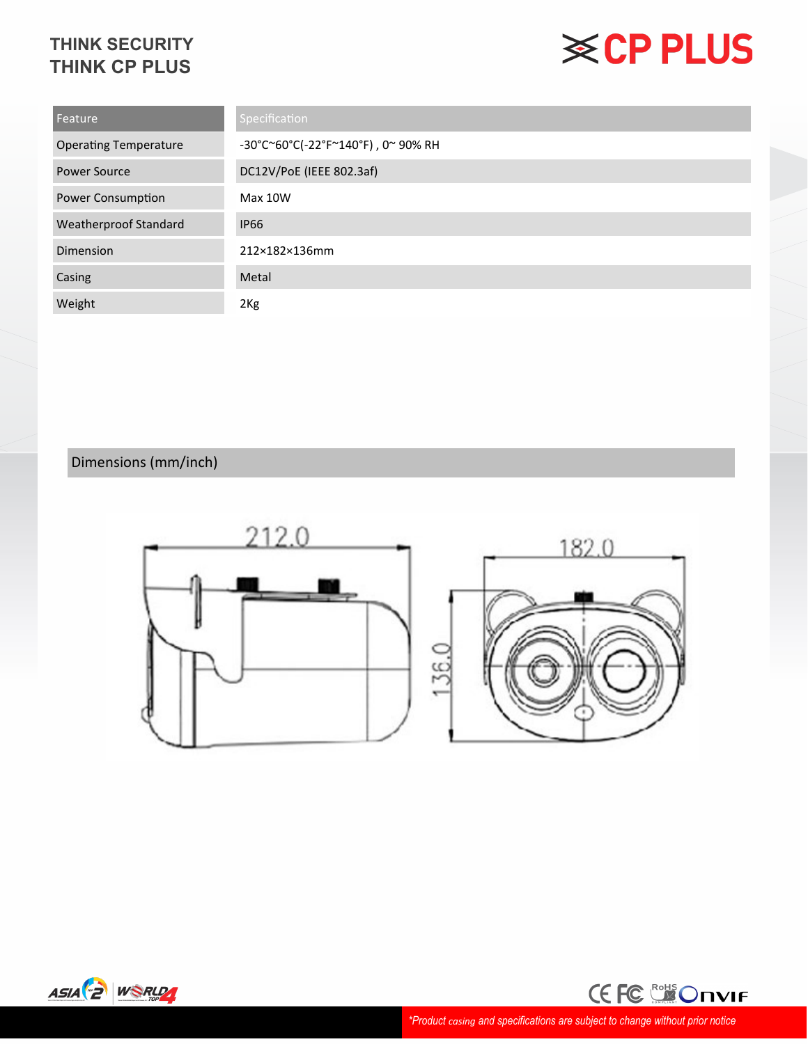# **※CP PLUS**

| Feature                      | Specification                      |
|------------------------------|------------------------------------|
| <b>Operating Temperature</b> | -30°C~60°C(-22°F~140°F), 0~ 90% RH |
| Power Source                 | DC12V/PoE (IEEE 802.3af)           |
| Power Consumption            | Max 10W                            |
| <b>Weatherproof Standard</b> | <b>IP66</b>                        |
| Dimension                    | 212×182×136mm                      |
| Casing                       | Metal                              |
| Weight                       | 2Kg                                |

### Dimensions (mm/inch)